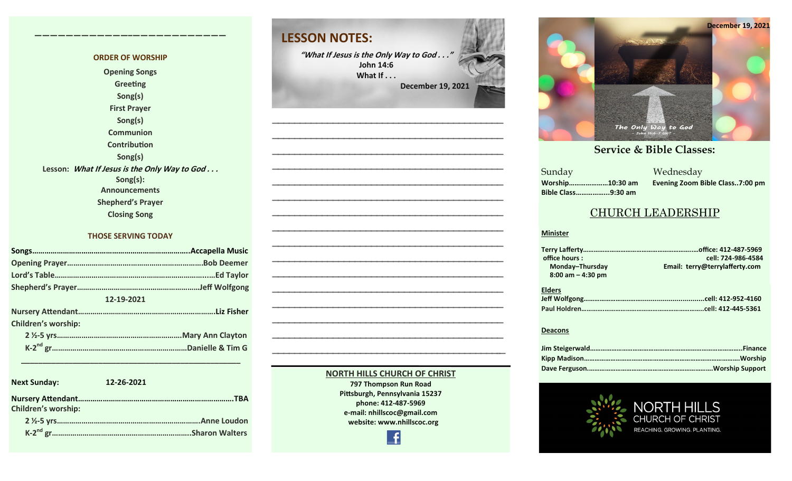#### **ORDER OF WORSHIP Opening Songs Greeting Song(s) First Prayer Song(s) Communion Contribution Song(s) Lesson: What If Jesus is the Only Way to God . . . Song(s): Announcements Shepherd's Prayer Closing Song**

**————————————–————————————**

#### **THOSE SERVING TODAY**

| 12-19-2021 |  |  |  |  |  |
|------------|--|--|--|--|--|
|            |  |  |  |  |  |
|            |  |  |  |  |  |
|            |  |  |  |  |  |
|            |  |  |  |  |  |
|            |  |  |  |  |  |

| <b>Next Sunday:</b>        | 12-26-2021 |
|----------------------------|------------|
| <b>Children's worship:</b> | <b>TRA</b> |
|                            |            |
|                            |            |

 **\_\_\_\_\_\_\_\_\_\_\_\_\_\_\_\_\_\_\_\_\_\_\_\_\_\_\_\_\_\_\_\_\_\_\_\_\_\_\_\_\_\_\_\_\_\_\_\_\_\_\_**



#### **NORTH HILLS CHURCH OF CHRIST**

**797 Thompson Run Road Pittsburgh, Pennsylvania 15237 phone: 412-487-5969 e-mail: nhillscoc@gmail.com website: www.nhillscoc.org** 

Æ



#### **September 24, 2017 October 8, 2017 October 15, 2017 October 8, 2017 October 22, 2017 October 29, 2017 November 5, 2017 November 12, 2017 November 26, 2017 December 10, 2017 December 24, 2017 January 7, 2017 January 7, 2017 February 21, 2021**

a Mednesday<br>Sunday Mednesday **Sunday Bible Class……………...9:30 am**

**Worship…………………10:30 am Evening Zoom Bible Class..7:00 pm**

I S

#### CHURCH LEADERSHIP

#### **Minister**

| office hours: |                      | cell: 724-986-4584             |
|---------------|----------------------|--------------------------------|
|               | Monday-Thursday      | Email: terry@terrylafferty.com |
|               | $8:00$ am $-4:30$ pm |                                |
|               |                      |                                |
| <b>Elders</b> |                      |                                |
|               |                      |                                |
|               |                      |                                |
|               |                      |                                |

#### **Deacons**